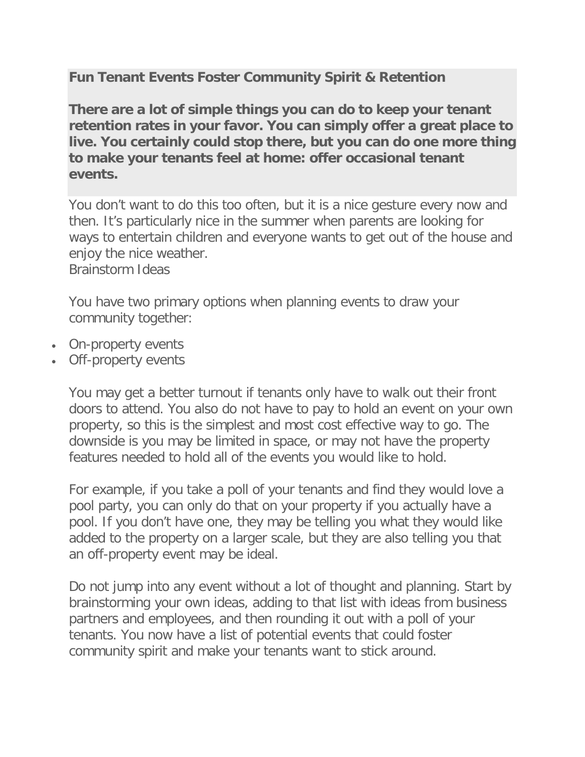**Fun Tenant Events Foster Community Spirit & Retention**

**There are a lot of simple things you can do to keep your tenant retention rates in your favor. You can simply offer a great place to live. You certainly could stop there, but you can do one more thing to make your tenants feel at home: offer occasional tenant events.**

You don't want to do this too often, but it is a nice gesture every now and then. It's particularly nice in the summer when parents are looking for ways to entertain children and everyone wants to get out of the house and enjoy the nice weather.

Brainstorm Ideas

You have two primary options when planning events to draw your community together:

- On-property events
- Off-property events

You may get a better turnout if tenants only have to walk out their front doors to attend. You also do not have to pay to hold an event on your own property, so this is the simplest and most cost effective way to go. The downside is you may be limited in space, or may not have the property features needed to hold all of the events you would like to hold.

For example, if you take a poll of your tenants and find they would love a pool party, you can only do that on your property if you actually have a pool. If you don't have one, they may be telling you what they would like added to the property on a larger scale, but they are also telling you that an off-property event may be ideal.

Do not jump into any event without a lot of thought and planning. Start by brainstorming your own ideas, adding to that list with ideas from business partners and employees, and then rounding it out with a poll of your tenants. You now have a list of potential events that could foster community spirit and make your tenants want to stick around.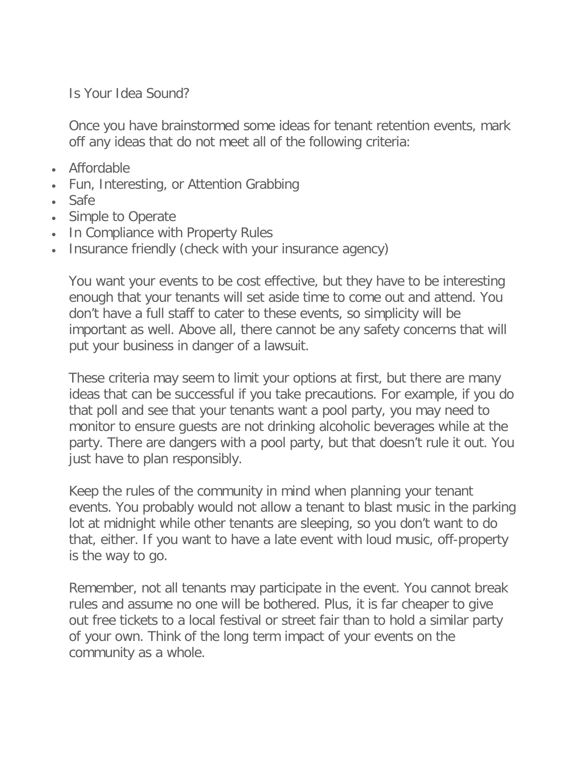Is Your Idea Sound?

Once you have brainstormed some ideas for tenant retention events, mark off any ideas that do not meet all of the following criteria:

- Affordable
- Fun, Interesting, or Attention Grabbing
- Safe
- Simple to Operate
- In Compliance with Property Rules
- Insurance friendly (check with your insurance agency)

You want your events to be cost effective, but they have to be interesting enough that your tenants will set aside time to come out and attend. You don't have a full staff to cater to these events, so simplicity will be important as well. Above all, there cannot be any safety concerns that will put your business in danger of a lawsuit.

These criteria may seem to limit your options at first, but there are many ideas that can be successful if you take precautions. For example, if you do that poll and see that your tenants want a pool party, you may need to monitor to ensure guests are not drinking alcoholic beverages while at the party. There are dangers with a pool party, but that doesn't rule it out. You just have to plan responsibly.

Keep the rules of the community in mind when planning your tenant events. You probably would not allow a tenant to blast music in the parking lot at midnight while other tenants are sleeping, so you don't want to do that, either. If you want to have a late event with loud music, off-property is the way to go.

Remember, not all tenants may participate in the event. You cannot break rules and assume no one will be bothered. Plus, it is far cheaper to give out free tickets to a local festival or street fair than to hold a similar party of your own. Think of the long term impact of your events on the community as a whole.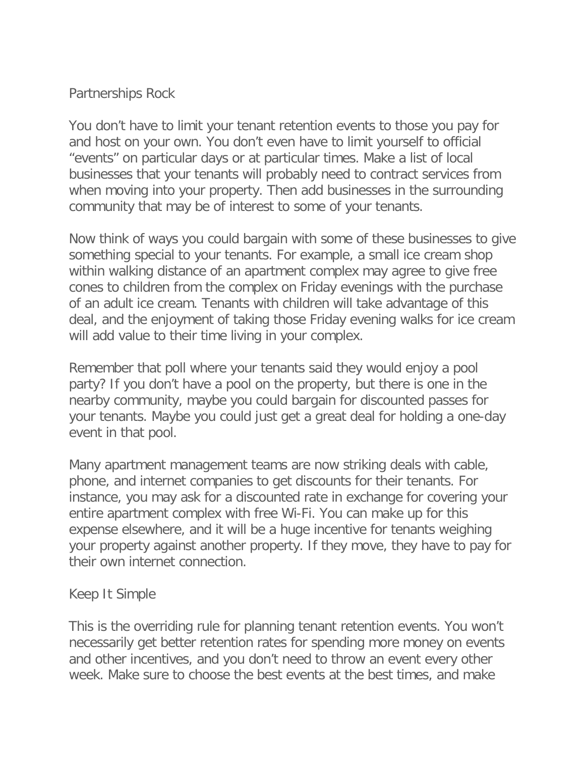## Partnerships Rock

You don't have to limit your tenant retention events to those you pay for and host on your own. You don't even have to limit yourself to official "events" on particular days or at particular times. Make a list of local businesses that your tenants will probably need to contract services from when moving into your property. Then add businesses in the surrounding community that may be of interest to some of your tenants.

Now think of ways you could bargain with some of these businesses to give something special to your tenants. For example, a small ice cream shop within walking distance of an apartment complex may agree to give free cones to children from the complex on Friday evenings with the purchase of an adult ice cream. Tenants with children will take advantage of this deal, and the enjoyment of taking those Friday evening walks for ice cream will add value to their time living in your complex.

Remember that poll where your tenants said they would enjoy a pool party? If you don't have a pool on the property, but there is one in the nearby community, maybe you could bargain for discounted passes for your tenants. Maybe you could just get a great deal for holding a one-day event in that pool.

Many apartment management teams are now striking deals with cable, phone, and internet companies to get discounts for their tenants. For instance, you may ask for a discounted rate in exchange for covering your entire apartment complex with free Wi-Fi. You can make up for this expense elsewhere, and it will be a huge incentive for tenants weighing your property against another property. If they move, they have to pay for their own internet connection.

## Keep It Simple

This is the overriding rule for planning tenant retention events. You won't necessarily get better retention rates for spending more money on events and other incentives, and you don't need to throw an event every other week. Make sure to choose the best events at the best times, and make